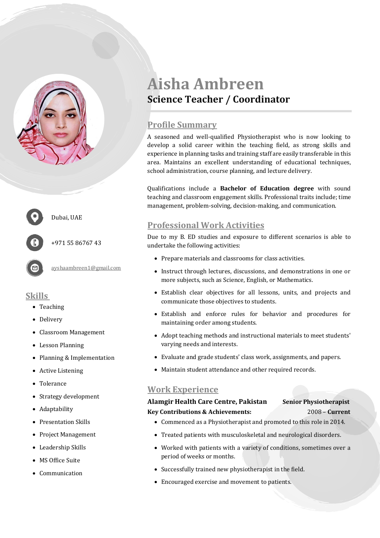



Dubai, UAE

+971 55 86767 43

[ayshaambreen1@gmail.com](mailto:ayshaambreen1@gmail.com)

## **Skills**

- Teaching
- Delivery
- Classroom Management
- Lesson Planning
- Planning & Implementation
- Active Listening
- Tolerance
- Strategy development
- Adaptability
- Presentation Skills
- Project Management
- Leadership Skills
- MS Office Suite
- Communication

# **Aisha Ambreen Science Teacher / Coordinator**

# **Profile Summary**

A seasoned and well-qualified Physiotherapist who is now looking to develop a solid career within the teaching field, as strong skills and experience in planning tasks and training staff are easily transferable in this area. Maintains an excellent understanding of educational techniques, school administration, course planning, and lecture delivery.

Qualifications include a **Bachelor of Education degree** with sound teaching and classroom engagement skills. Professional traits include; time management, problem-solving, decision-making, and communication.

# **Professional Work Activities**

Due to my B. ED studies and exposure to different scenarios is able to undertake the following activities:

- Prepare materials and classrooms for class activities.
- Instruct through lectures, discussions, and demonstrations in one or more subjects, such as Science, English, or Mathematics.
- Establish clear objectives for all lessons, units, and projects and communicate those objectives to students.
- Establish and enforce rules for behavior and procedures for maintaining order among students.
- Adopt teaching methods and instructional materials to meet students' varying needs and interests.
- Evaluate and grade students' class work, assignments, and papers.
- Maintain student attendance and other required records.

# **Work Experience**

### **Alamgir Health Care Centre, Pakistan Senior Physiotherapist Key Contributions & Achievements:** 2008 – **Current**

- Commenced as a Physiotherapist and promoted to this role in 2014.
- Treated patients with musculoskeletal and neurological disorders.
- Worked with patients with a variety of conditions, sometimes over a period of weeks or months.
- Successfully trained new physiotherapist in the field.
- Encouraged exercise and movement to patients.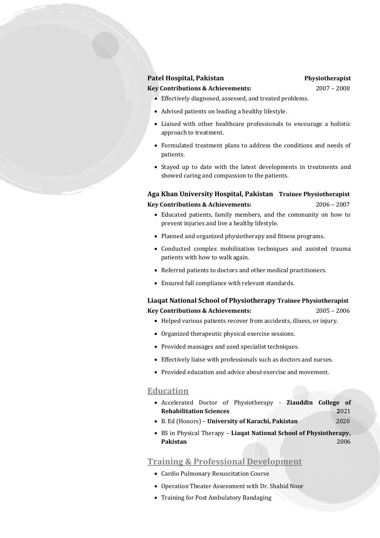#### **Patel Hospital, Pakistan** *Physiotherapist*

**Key Contributions & Achievements:** 2007 – 2008

- Effectively diagnosed, assessed, and treated problems.
- Advised patients on leading a healthy lifestyle.
- Liaised with other healthcare professionals to encourage a holistic approach to treatment.
- Formulated treatment plans to address the conditions and needs of patients.
- Stayed up to date with the latest developments in treatments and showed caring and compassion to the patients.

**Aga Khan University Hospital, Pakistan Trainee Physiotherapist Key Contributions & Achievements:** 2006 – 2007

- Educated patients, family members, and the community on how to prevent injuries and live a healthy lifestyle.
- Planned and organized physiotherapy and fitness programs.
- Conducted complex mobilization techniques and assisted trauma patients with how to walk again.
- Referred patients to doctors and other medical practitioners.
- Ensured full compliance with relevant standards.

#### **Liaqat National School of Physiotherapy Trainee Physiotherapist Key Contributions & Achievements:** 2005 – 2006

- Helped various patients recover from accidents, illness, or injury.
- Organized therapeutic physical exercise sessions.
- Provided massages and used specialist techniques.
- Effectively liaise with professionals such as doctors and nurses.
- Provided education and advice about exercise and movement.

#### **Education**

- Accelerated Doctor of Physiotherapy **Ziauddin College of Rehabilitation Sciences** 2021
- B. Ed (Honors) **University of Karachi, Pakistan** 2020
- BS in Physical Therapy **Liaqat National School of Physiotherapy, Pakistan** 2006

#### **Training & Professional Development**

- Cardio Pulmonary Resuscitation Course
- Operation Theater Assessment with Dr. Shahid Noor
- Training for Post Ambulatory Bandaging